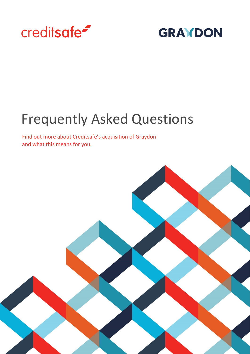

# **GRAYDON**

# Frequently Asked Questions

Find out more about Creditsafe's acquisition of Graydon and what this means for you.

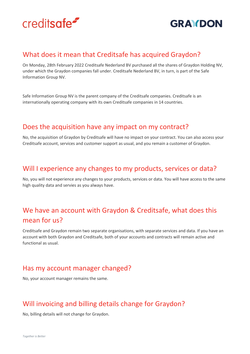



#### What does it mean that Creditsafe has acquired Graydon?

On Monday, 28th February 2022 Creditsafe Nederland BV purchased all the shares of Graydon Holding NV, under which the Graydon companies fall under. Creditsafe Nederland BV, in turn, is part of the Safe Information Group NV.

Safe Information Group NV is the parent company of the Creditsafe companies. Creditsafe is an internationally operating company with its own Creditsafe companies in 14 countries.

#### Does the acquisition have any impact on my contract?

No, the acquisition of Graydon by Creditsafe will have no impact on your contract. You can also access your Creditsafe account, services and customer support as usual, and you remain a customer of Graydon.

#### Will I experience any changes to my products, services or data?

No, you will not experience any changes to your products, services or data. You will have access to the same high quality data and servies as you always have.

# We have an account with Graydon & Creditsafe, what does this mean for us?

Creditsafe and Graydon remain two separate organisations, with separate services and data. If you have an account with both Graydon and Creditsafe, both of your accounts and contracts will remain active and functional as usual.

#### Has my account manager changed?

No, your account manager remains the same.

# Will invoicing and billing details change for Graydon?

No, billing details will not change for Graydon.